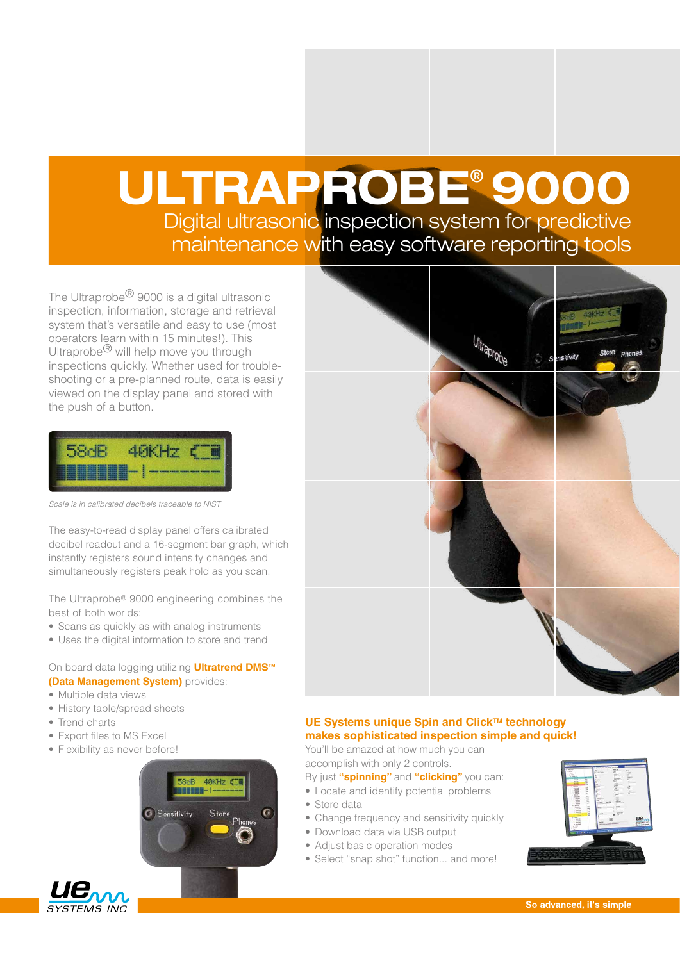# ULTRAPROBE® 9000 Digital ultrasonic inspection system for predictive

maintenance with easy software reporting tools

The Ultraprobe<sup>®</sup> 9000 is a digital ultrasonic inspection, information, storage and retrieval system that's versatile and easy to use (most operators learn within 15 minutes!). This Ultraprobe® will help move you through inspections quickly. Whether used for troubleshooting or a pre-planned route, data is easily viewed on the display panel and stored with the push of a button.

|     | <b>COX HINGS</b>                                  |  |
|-----|---------------------------------------------------|--|
| --- | <b>ATENT NEEDS WHERE NUMBER SHEEK SENDS NOONS</b> |  |

*Scale is in calibrated decibels traceable to NIST*

The easy-to-read display panel offers calibrated decibel readout and a 16-segment bar graph, which instantly registers sound intensity changes and simultaneously registers peak hold as you scan.

The Ultraprobe® 9000 engineering combines the best of both worlds:

- Scans as quickly as with analog instruments
- Uses the digital information to store and trend

#### On board data logging utilizing **Ultratrend DMS™ (Data Management System)** provides:

- Multiple data views
- History table/spread sheets
- Trend charts
- Export files to MS Excel
- Flexibility as never before!





### **UE Systems unique Spin and Click™ technology makes sophisticated inspection simple and quick!**

You'll be amazed at how much you can accomplish with only 2 controls.

- By just **"spinning"** and **"clicking"** you can:
- Locate and identify potential problems
- Store data
- Change frequency and sensitivity quickly
- Download data via USB output
- Adjust basic operation modes
- Select "snap shot" function... and more!